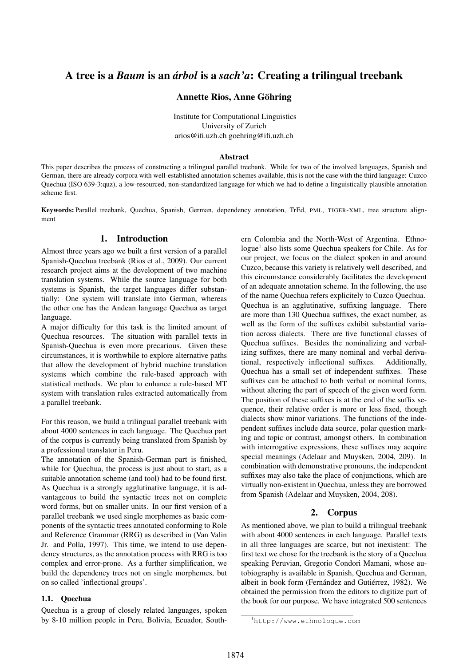# A tree is a *Baum* is an *arbol ´* is a *sach'a*: Creating a trilingual treebank

### Annette Rios, Anne Göhring

Institute for Computational Linguistics University of Zurich arios@ifi.uzh.ch goehring@ifi.uzh.ch

#### Abstract

This paper describes the process of constructing a trilingual parallel treebank. While for two of the involved languages, Spanish and German, there are already corpora with well-established annotation schemes available, this is not the case with the third language: Cuzco Quechua (ISO 639-3:quz), a low-resourced, non-standardized language for which we had to define a linguistically plausible annotation scheme first.

Keywords: Parallel treebank, Quechua, Spanish, German, dependency annotation, TrEd, PML, TIGER-XML, tree structure alignment

### 1. Introduction

Almost three years ago we built a first version of a parallel Spanish-Quechua treebank (Rios et al., 2009). Our current research project aims at the development of two machine translation systems. While the source language for both systems is Spanish, the target languages differ substantially: One system will translate into German, whereas the other one has the Andean language Quechua as target language.

A major difficulty for this task is the limited amount of Quechua resources. The situation with parallel texts in Spanish-Quechua is even more precarious. Given these circumstances, it is worthwhile to explore alternative paths that allow the development of hybrid machine translation systems which combine the rule-based approach with statistical methods. We plan to enhance a rule-based MT system with translation rules extracted automatically from a parallel treebank.

For this reason, we build a trilingual parallel treebank with about 4000 sentences in each language. The Quechua part of the corpus is currently being translated from Spanish by a professional translator in Peru.

The annotation of the Spanish-German part is finished, while for Quechua, the process is just about to start, as a suitable annotation scheme (and tool) had to be found first. As Quechua is a strongly agglutinative language, it is advantageous to build the syntactic trees not on complete word forms, but on smaller units. In our first version of a parallel treebank we used single morphemes as basic components of the syntactic trees annotated conforming to Role and Reference Grammar (RRG) as described in (Van Valin Jr. and Polla, 1997). This time, we intend to use dependency structures, as the annotation process with RRG is too complex and error-prone. As a further simplification, we build the dependency trees not on single morphemes, but on so called 'inflectional groups'.

#### 1.1. Quechua

Quechua is a group of closely related languages, spoken by 8-10 million people in Peru, Bolivia, Ecuador, Southern Colombia and the North-West of Argentina. Ethnologue<sup>1</sup> also lists some Quechua speakers for Chile. As for our project, we focus on the dialect spoken in and around Cuzco, because this variety is relatively well described, and this circumstance considerably facilitates the development of an adequate annotation scheme. In the following, the use of the name Quechua refers explicitely to Cuzco Quechua. Quechua is an agglutinative, suffixing language. There are more than 130 Quechua suffixes, the exact number, as well as the form of the suffixes exhibit substantial variation across dialects. There are five functional classes of Quechua suffixes. Besides the nominalizing and verbalizing suffixes, there are many nominal and verbal derivational, respectively inflectional suffixes. Additionally, Quechua has a small set of independent suffixes. These suffixes can be attached to both verbal or nominal forms, without altering the part of speech of the given word form. The position of these suffixes is at the end of the suffix sequence, their relative order is more or less fixed, though dialects show minor variations. The functions of the independent suffixes include data source, polar question marking and topic or contrast, amongst others. In combination with interrogative expressions, these suffixes may acquire special meanings (Adelaar and Muysken, 2004, 209). In combination with demonstrative pronouns, the independent suffixes may also take the place of conjunctions, which are virtually non-existent in Quechua, unless they are borrowed from Spanish (Adelaar and Muysken, 2004, 208).

# 2. Corpus

As mentioned above, we plan to build a trilingual treebank with about 4000 sentences in each language. Parallel texts in all three languages are scarce, but not inexistent: The first text we chose for the treebank is the story of a Quechua speaking Peruvian, Gregorio Condori Mamani, whose autobiography is available in Spanish, Quechua and German, albeit in book form (Fernández and Gutiérrez, 1982). We obtained the permission from the editors to digitize part of the book for our purpose. We have integrated 500 sentences

<sup>1</sup>http://www.ethnologue.com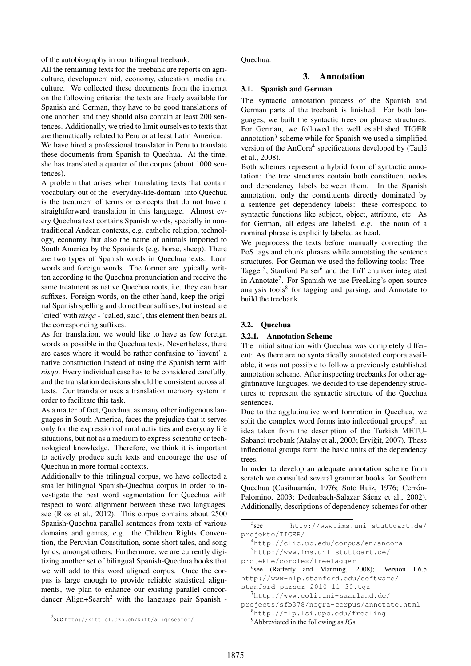of the autobiography in our trilingual treebank.

All the remaining texts for the treebank are reports on agriculture, development aid, economy, education, media and culture. We collected these documents from the internet on the following criteria: the texts are freely available for Spanish and German, they have to be good translations of one another, and they should also contain at least 200 sentences. Additionally, we tried to limit ourselves to texts that are thematically related to Peru or at least Latin America.

We have hired a professional translator in Peru to translate these documents from Spanish to Quechua. At the time, she has translated a quarter of the corpus (about 1000 sentences).

A problem that arises when translating texts that contain vocabulary out of the 'everyday-life-domain' into Quechua is the treatment of terms or concepts that do not have a straightforward translation in this language. Almost every Quechua text contains Spanish words, specially in nontraditional Andean contexts, e.g. catholic religion, technology, economy, but also the name of animals imported to South America by the Spaniards (e.g. horse, sheep). There are two types of Spanish words in Quechua texts: Loan words and foreign words. The former are typically written according to the Quechua pronunciation and receive the same treatment as native Quechua roots, i.e. they can bear suffixes. Foreign words, on the other hand, keep the original Spanish spelling and do not bear suffixes, but instead are 'cited' with *nisqa* - 'called, said', this element then bears all the corresponding suffixes.

As for translation, we would like to have as few foreign words as possible in the Quechua texts. Nevertheless, there are cases where it would be rather confusing to 'invent' a native construction instead of using the Spanish term with *nisqa*. Every individual case has to be considered carefully, and the translation decisions should be consistent across all texts. Our translator uses a translation memory system in order to facilitate this task.

As a matter of fact, Quechua, as many other indigenous languages in South America, faces the prejudice that it serves only for the expression of rural activities and everyday life situations, but not as a medium to express scientific or technological knowledge. Therefore, we think it is important to actively produce such texts and encourage the use of Quechua in more formal contexts.

Additionally to this trilingual corpus, we have collected a smaller bilingual Spanish-Quechua corpus in order to investigate the best word segmentation for Quechua with respect to word alignment between these two languages, see (Rios et al., 2012). This corpus contains about 2500 Spanish-Quechua parallel sentences from texts of various domains and genres, e.g. the Children Rights Convention, the Peruvian Constitution, some short tales, and song lyrics, amongst others. Furthermore, we are currently digitizing another set of bilingual Spanish-Quechua books that we will add to this word aligned corpus. Once the corpus is large enough to provide reliable statistical alignments, we plan to enhance our existing parallel concordancer Align+Search<sup>2</sup> with the language pair Spanish -

Quechua.

### 3. Annotation

### 3.1. Spanish and German

The syntactic annotation process of the Spanish and German parts of the treebank is finished. For both languages, we built the syntactic trees on phrase structures. For German, we followed the well established TIGER annotation<sup>3</sup> scheme while for Spanish we used a simplified version of the AnCora<sup>4</sup> specifications developed by (Taulé et al., 2008).

Both schemes represent a hybrid form of syntactic annotation: the tree structures contain both constituent nodes and dependency labels between them. In the Spanish annotation, only the constituents directly dominated by a sentence get dependency labels: these correspond to syntactic functions like subject, object, attribute, etc. As for German, all edges are labeled, e.g. the noun of a nominal phrase is explicitly labeled as head.

We preprocess the texts before manually correcting the PoS tags and chunk phrases while annotating the sentence structures. For German we used the following tools: Tree-Tagger<sup>5</sup>, Stanford Parser<sup>6</sup> and the TnT chunker integrated in Annotate<sup>7</sup>. For Spanish we use FreeLing's open-source analysis tools<sup>8</sup> for tagging and parsing, and Annotate to build the treebank.

### 3.2. Quechua

#### 3.2.1. Annotation Scheme

The initial situation with Quechua was completely different: As there are no syntactically annotated corpora available, it was not possible to follow a previously established annotation scheme. After inspecting treebanks for other agglutinative languages, we decided to use dependency structures to represent the syntactic structure of the Quechua sentences.

Due to the agglutinative word formation in Quechua, we split the complex word forms into inflectional groups<sup>9</sup>, an idea taken from the description of the Turkish METU-Sabanci treebank (Atalay et al., 2003; Eryiğit, 2007). These inflectional groups form the basic units of the dependency trees.

In order to develop an adequate annotation scheme from scratch we consulted several grammar books for Southern Quechua (Cusihuamán, 1976; Soto Ruiz, 1976; Cerrón-Palomino, 2003; Dedenbach-Salazar Sáenz et al., 2002). Additionally, descriptions of dependency schemes for other

 $3$ see http://www.ims.uni-stuttgart.de/ projekte/TIGER/

<sup>4</sup>http://clic.ub.edu/corpus/en/ancora <sup>5</sup>http://www.ims.uni-stuttgart.de/

projekte/corplex/TreeTagger

<sup>6</sup> see (Rafferty and Manning, 2008); Version 1.6.5 http://www-nlp.stanford.edu/software/ stanford-parser-2010-11-30.tgz

<sup>7</sup>http://www.coli.uni-saarland.de/ projects/sfb378/negra-corpus/annotate.html

<sup>8</sup>http://nlp.lsi.upc.edu/freeling <sup>9</sup>Abbreviated in the following as *IG*s

<sup>2</sup> see http://kitt.cl.uzh.ch/kitt/alignsearch/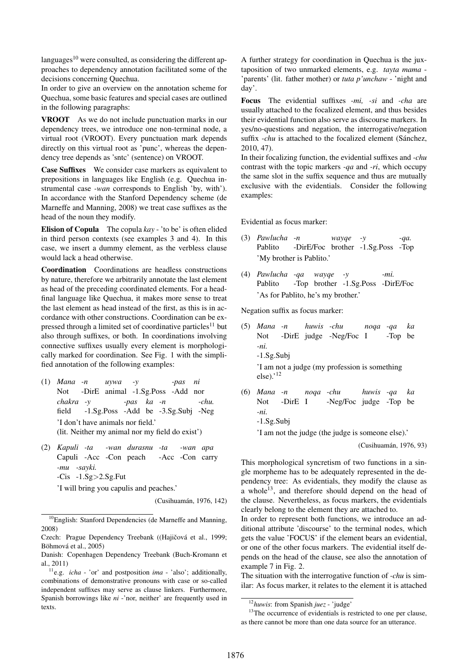languages $10$  were consulted, as considering the different approaches to dependency annotation facilitated some of the decisions concerning Quechua.

In order to give an overview on the annotation scheme for Quechua, some basic features and special cases are outlined in the following paragraphs:

VROOT As we do not include punctuation marks in our dependency trees, we introduce one non-terminal node, a virtual root (VROOT). Every punctuation mark depends directly on this virtual root as 'punc', whereas the dependency tree depends as 'sntc' (sentence) on VROOT.

Case Suffixes We consider case markers as equivalent to prepositions in languages like English (e.g. Quechua instrumental case *-wan* corresponds to English 'by, with'). In accordance with the Stanford Dependency scheme (de Marneffe and Manning, 2008) we treat case suffixes as the head of the noun they modify.

Elision of Copula The copula *kay* - 'to be' is often elided in third person contexts (see examples 3 and 4). In this case, we insert a dummy element, as the verbless clause would lack a head otherwise.

Coordination Coordinations are headless constructions by nature, therefore we arbitrarily annotate the last element as head of the preceding coordinated elements. For a headfinal language like Quechua, it makes more sense to treat the last element as head instead of the first, as this is in accordance with other constructions. Coordination can be expressed through a limited set of coordinative particles<sup>11</sup> but also through suffixes, or both. In coordinations involving connective suffixes usually every element is morphologically marked for coordination. See Fig. 1 with the simplified annotation of the following examples:

- (1) *Mana -n* Not -DirE animal -1.Sg.Poss -Add nor *uywa -y -pas ni chakra -y* field -1.Sg.Poss -Add be -3.Sg.Subj -Neg *-pas ka -n -chu.* 'I don't have animals nor field.' (lit. Neither my animal nor my field do exist')
- (2) *Kapuli -ta* Capuli -Acc -Con peach *-wan durasnu -ta* -Acc -Con carry *-wan apa -mu -sayki.* -Cis -1.Sg>2.Sg.Fut

'I will bring you capulis and peaches.'

(Cusihuamán, 1976, 142)

A further strategy for coordination in Quechua is the juxtaposition of two unmarked elements, e.g. *tayta mama* - 'parents' (lit. father mother) or *tuta p'unchaw* - 'night and day'.

Focus The evidential suffixes *-mi, -si* and *-cha* are usually attached to the focalized element, and thus besides their evidential function also serve as discourse markers. In yes/no-questions and negation, the interrogative/negation suffix *-chu* is attached to the focalized element (Sánchez, 2010, 47).

In their focalizing function, the evidential suffixes and *-chu* contrast with the topic markers *-qa* and *-ri*, which occupy the same slot in the suffix sequence and thus are mutually exclusive with the evidentials. Consider the following examples:

Evidential as focus marker:

- (3) *Pawlucha -n* Pablito -DirE/Foc brother -1.Sg.Poss -Top *wayqe -y -qa.* 'My brother is Pablito.'
- (4) *Pawlucha -qa wayqe -y* Pablito -Top brother -1.Sg.Poss -DirE/Foc *-mi.* 'As for Pablito, he's my brother.'

Negation suffix as focus marker:

- (5) *Mana -n* Not -DirE judge -Neg/Foc I *huwis -chu noqa -qa* -Top be *ka -ni.* -1.Sg.Subj 'I am not a judge (my profession is something  $else).<sup>12</sup>$
- (6) *Mana -n* Not -DirE I *noqa -chu* -Neg/Foc judge -Top be *huwis -qa ka -ni.*

-1.Sg.Subj

'I am not the judge (the judge is someone else).'

(Cusihuamán, 1976, 93)

This morphological syncretism of two functions in a single morpheme has to be adequately represented in the dependency tree: As evidentials, they modify the clause as a whole<sup>13</sup>, and therefore should depend on the head of the clause. Nevertheless, as focus markers, the evidentials clearly belong to the element they are attached to.

In order to represent both functions, we introduce an additional attribute 'discourse' to the terminal nodes, which gets the value 'FOCUS' if the element bears an evidential, or one of the other focus markers. The evidential itself depends on the head of the clause, see also the annotation of example 7 in Fig. 2.

The situation with the interrogative function of *-chu* is similar: As focus marker, it relates to the element it is attached

<sup>&</sup>lt;sup>10</sup>English: Stanford Dependencies (de Marneffe and Manning, 2008)

Czech: Prague Dependency Treebank ((Hajičová et al., 1999; Böhmová et al., 2005)

Danish: Copenhagen Dependency Treebank (Buch-Kromann et al., 2011)

<sup>11</sup>e.g. *icha* - 'or' and postposition *ima* - 'also'; additionally, combinations of demonstrative pronouns with case or so-called independent suffixes may serve as clause linkers. Furthermore, Spanish borrowings like *ni* -'nor, neither' are frequently used in texts.

<sup>12</sup>*huwis*: from Spanish *juez* - 'judge'

<sup>&</sup>lt;sup>13</sup>The occurrence of evidentials is restricted to one per clause, as there cannot be more than one data source for an utterance.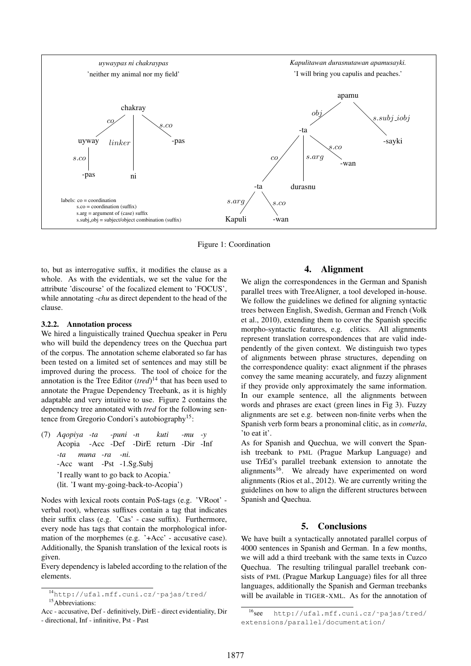

Figure 1: Coordination

to, but as interrogative suffix, it modifies the clause as a whole. As with the evidentials, we set the value for the attribute 'discourse' of the focalized element to 'FOCUS', while annotating *-chu* as direct dependent to the head of the clause.

#### 3.2.2. Annotation process

We hired a linguistically trained Quechua speaker in Peru who will build the dependency trees on the Quechua part of the corpus. The annotation scheme elaborated so far has been tested on a limited set of sentences and may still be improved during the process. The tool of choice for the annotation is the Tree Editor (*tred*) <sup>14</sup> that has been used to annotate the Prague Dependency Treebank, as it is highly adaptable and very intuitive to use. Figure 2 contains the dependency tree annotated with *tred* for the following sentence from Gregorio Condori's autobiography<sup>15</sup>:

(7) *Aqopiya -ta* Acopia -Acc -Def *-puni -n* -DirE return -Dir -Inf *kuti -mu -y -ta* -Acc want -Pst -1.Sg.Subj *muna -ra -ni.* 'I really want to go back to Acopia.' (lit. 'I want my-going-back-to-Acopia')

Nodes with lexical roots contain PoS-tags (e.g. 'VRoot' verbal root), whereas suffixes contain a tag that indicates their suffix class (e.g. 'Cas' - case suffix). Furthermore, every node has tags that contain the morphological information of the morphemes (e.g. '+Acc' - accusative case). Additionally, the Spanish translation of the lexical roots is given.

Every dependency is labeled according to the relation of the elements.

# 4. Alignment

We align the correspondences in the German and Spanish parallel trees with TreeAligner, a tool developed in-house. We follow the guidelines we defined for aligning syntactic trees between English, Swedish, German and French (Volk et al., 2010), extending them to cover the Spanish specific morpho-syntactic features, e.g. clitics. All alignments represent translation correspondences that are valid independently of the given context. We distinguish two types of alignments between phrase structures, depending on the correspondence quality: exact alignment if the phrases convey the same meaning accurately, and fuzzy alignment if they provide only approximately the same information. In our example sentence, all the alignments between words and phrases are exact (green lines in Fig 3). Fuzzy alignments are set e.g. between non-finite verbs when the Spanish verb form bears a pronominal clitic, as in *comerla*, 'to eat it'.

As for Spanish and Quechua, we will convert the Spanish treebank to PML (Prague Markup Language) and use TrEd's parallel treebank extension to annotate the alignments<sup>16</sup>. We already have experimented on word alignments (Rios et al., 2012). We are currently writing the guidelines on how to align the different structures between Spanish and Quechua.

### 5. Conclusions

We have built a syntactically annotated parallel corpus of 4000 sentences in Spanish and German. In a few months, we will add a third treebank with the same texts in Cuzco Quechua. The resulting trilingual parallel treebank consists of PML (Prague Markup Language) files for all three languages, additionally the Spanish and German treebanks will be available in TIGER-XML. As for the annotation of

<sup>14</sup>http://ufal.mff.cuni.cz/˜pajas/tred/ <sup>15</sup>Abbreviations:

Acc - accusative, Def - definitively, DirE - direct evidentiality, Dir - directional, Inf - infinitive, Pst - Past

<sup>16</sup>see http://ufal.mff.cuni.cz/˜pajas/tred/ extensions/parallel/documentation/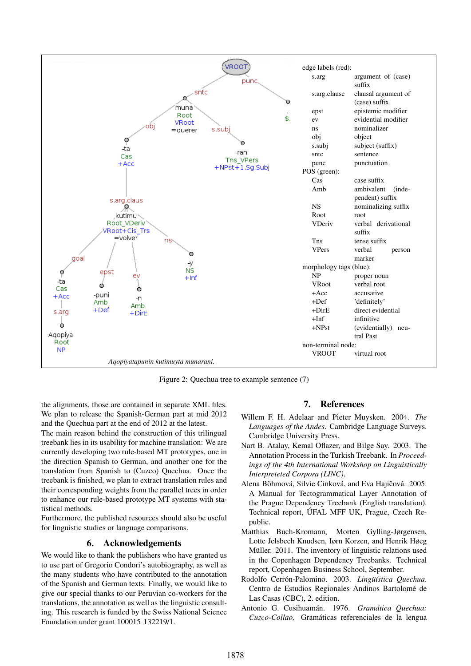

Figure 2: Quechua tree to example sentence (7)

the alignments, those are contained in separate XML files. We plan to release the Spanish-German part at mid 2012 and the Quechua part at the end of 2012 at the latest.

The main reason behind the construction of this trilingual treebank lies in its usability for machine translation: We are currently developing two rule-based MT prototypes, one in the direction Spanish to German, and another one for the translation from Spanish to (Cuzco) Quechua. Once the treebank is finished, we plan to extract translation rules and their corresponding weights from the parallel trees in order to enhance our rule-based prototype MT systems with statistical methods.

Furthermore, the published resources should also be useful for linguistic studies or language comparisons.

### 6. Acknowledgements

We would like to thank the publishers who have granted us to use part of Gregorio Condori's autobiography, as well as the many students who have contributed to the annotation of the Spanish and German texts. Finally, we would like to give our special thanks to our Peruvian co-workers for the translations, the annotation as well as the linguistic consulting. This research is funded by the Swiss National Science Foundation under grant 100015 132219/1.

### 7. References

- Willem F. H. Adelaar and Pieter Muysken. 2004. *The Languages of the Andes*. Cambridge Language Surveys. Cambridge University Press.
- Nart B. Atalay, Kemal Oflazer, and Bilge Say. 2003. The Annotation Process in the Turkish Treebank. In *Proceedings of the 4th International Workshop on Linguistically Interpreteted Corpora (LINC)*.
- Alena Böhmová, Silvie Cinková, and Eva Hajičová, 2005. A Manual for Tectogrammatical Layer Annotation of the Prague Dependency Treebank (English translation). Technical report, UFAL MFF UK, Prague, Czech Re- ´ public.
- Matthias Buch-Kromann, Morten Gylling-Jørgensen, Lotte Jelsbech Knudsen, Iørn Korzen, and Henrik Høeg Müller. 2011. The inventory of linguistic relations used in the Copenhagen Dependency Treebanks. Technical report, Copenhagen Business School, September.
- Rodolfo Cerrón-Palomino. 2003. Lingüística Quechua. Centro de Estudios Regionales Andinos Bartolomé de Las Casas (CBC), 2. edition.
- Antonio G. Cusihuamán. 1976. Gramática Quechua: *Cuzco-Collao*. Gramaticas referenciales de la lengua ´